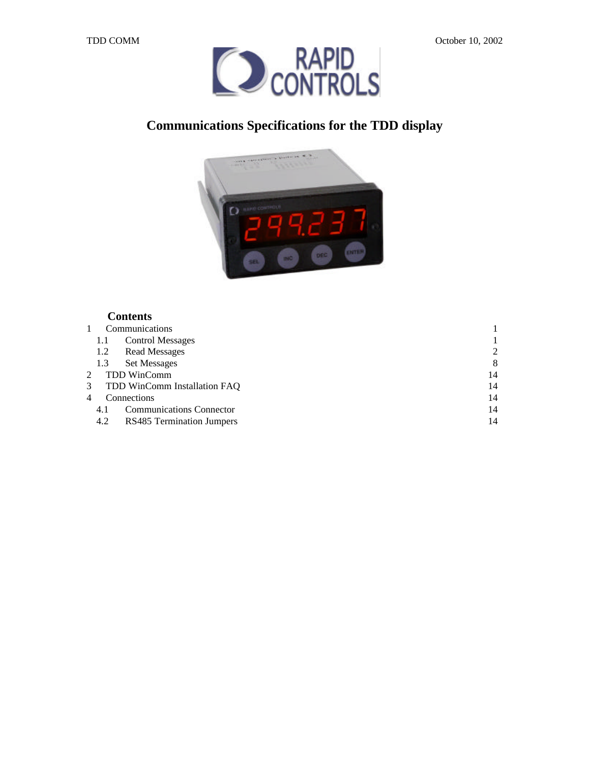

# **Communications Specifications for the TDD display**



## **Contents**

| 1.1          | <b>Control Messages</b>   |                                                                                                                                         |
|--------------|---------------------------|-----------------------------------------------------------------------------------------------------------------------------------------|
| 1.2          |                           | $\overline{2}$                                                                                                                          |
| 1.3          | <b>Set Messages</b>       | 8                                                                                                                                       |
| $\mathbf{2}$ |                           | 14                                                                                                                                      |
| 3            |                           | 14                                                                                                                                      |
|              |                           | 14                                                                                                                                      |
| 4.1          |                           | 14                                                                                                                                      |
| 4.2          | RS485 Termination Jumpers | 14                                                                                                                                      |
|              |                           | Communications<br><b>Read Messages</b><br>TDD WinComm<br>TDD WinComm Installation FAQ<br>Connections<br><b>Communications Connector</b> |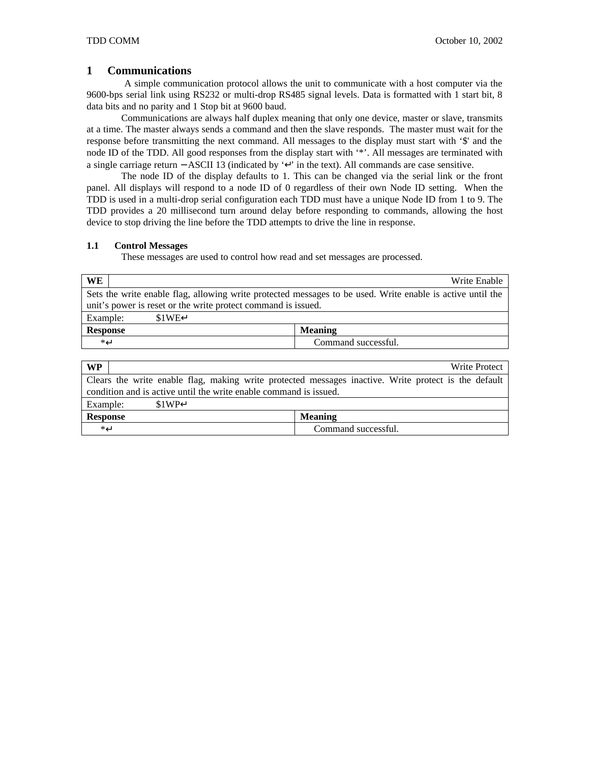#### **1 Communications**

 A simple communication protocol allows the unit to communicate with a host computer via the 9600-bps serial link using RS232 or multi-drop RS485 signal levels. Data is formatted with 1 start bit, 8 data bits and no parity and 1 Stop bit at 9600 baud.

Communications are always half duplex meaning that only one device, master or slave, transmits at a time. The master always sends a command and then the slave responds. The master must wait for the response before transmitting the next command. All messages to the display must start with '\$' and the node ID of the TDD. All good responses from the display start with '\*'. All messages are terminated with a single carriage return – ASCII 13 (indicated by '↵' in the text). All commands are case sensitive.

The node ID of the display defaults to 1. This can be changed via the serial link or the front panel. All displays will respond to a node ID of 0 regardless of their own Node ID setting. When the TDD is used in a multi-drop serial configuration each TDD must have a unique Node ID from 1 to 9. The TDD provides a 20 millisecond turn around delay before responding to commands, allowing the host device to stop driving the line before the TDD attempts to drive the line in response.

#### **1.1 Control Messages**

These messages are used to control how read and set messages are processed.

\*↵ Command successful.

| <b>WE</b>                                                                                                  | Write Enable        |  |
|------------------------------------------------------------------------------------------------------------|---------------------|--|
| Sets the write enable flag, allowing write protected messages to be used. Write enable is active until the |                     |  |
| unit's power is reset or the write protect command is issued.                                              |                     |  |
| \$1WE<br>Example:                                                                                          |                     |  |
| <b>Response</b>                                                                                            | <b>Meaning</b>      |  |
| *⊿                                                                                                         | Command successful. |  |
|                                                                                                            |                     |  |
| <b>WP</b>                                                                                                  | Write Protect       |  |
| Clears the write enable flag, making write protected messages inactive. Write protect is the default       |                     |  |
| condition and is active until the write enable command is issued.                                          |                     |  |
| $$1WP\Box$<br>Example:                                                                                     |                     |  |
| <b>Response</b>                                                                                            | <b>Meaning</b>      |  |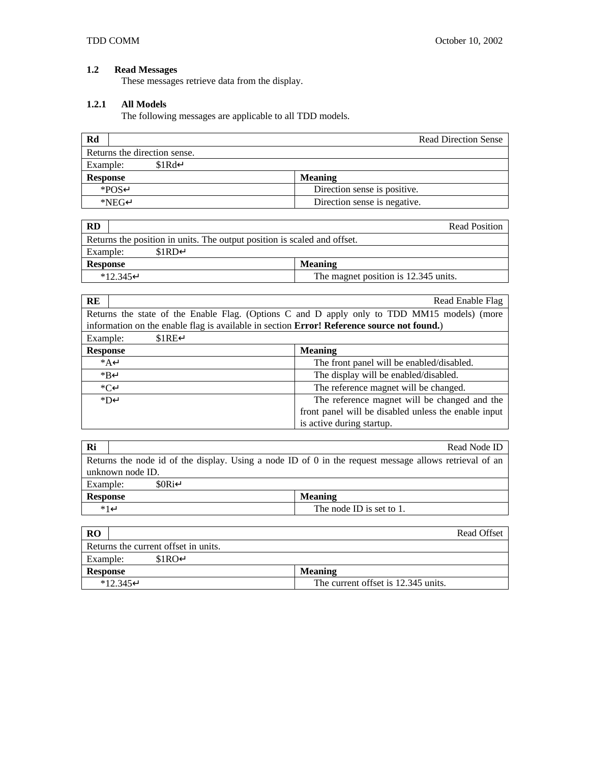## **1.2 Read Messages**

These messages retrieve data from the display.

## **1.2.1 All Models**

The following messages are applicable to all TDD models.

| Rd                           | <b>Read Direction Sense</b>  |
|------------------------------|------------------------------|
| Returns the direction sense. |                              |
| $$1Rd \Box$<br>Example:      |                              |
| <b>Response</b>              | <b>Meaning</b>               |
| $*POS\Box$                   | Direction sense is positive. |
| $*NEG$                       | Direction sense is negative. |

| <b>RD</b>                                                                | Read Position                        |
|--------------------------------------------------------------------------|--------------------------------------|
| Returns the position in units. The output position is scaled and offset. |                                      |
| \$1RD<br>Example:                                                        |                                      |
| <b>Response</b>                                                          | <b>Meaning</b>                       |
| $*12.345\Box$                                                            | The magnet position is 12.345 units. |

| RE                                                                                          | Read Enable Flag                                     |  |
|---------------------------------------------------------------------------------------------|------------------------------------------------------|--|
| Returns the state of the Enable Flag. (Options C and D apply only to TDD MM15 models) (more |                                                      |  |
| information on the enable flag is available in section Error! Reference source not found.)  |                                                      |  |
| $$1RE\rightarrow$<br>Example:                                                               |                                                      |  |
| <b>Response</b>                                                                             | <b>Meaning</b>                                       |  |
| $^*A$                                                                                       | The front panel will be enabled/disabled.            |  |
| *BJ                                                                                         | The display will be enabled/disabled.                |  |
| $C_{\leftarrow}$                                                                            | The reference magnet will be changed.                |  |
| *DJ                                                                                         | The reference magnet will be changed and the         |  |
|                                                                                             | front panel will be disabled unless the enable input |  |
|                                                                                             | is active during startup.                            |  |

| Ri               | Read Node ID                                                                                           |  |  |
|------------------|--------------------------------------------------------------------------------------------------------|--|--|
|                  | Returns the node id of the display. Using a node ID of 0 in the request message allows retrieval of an |  |  |
| unknown node ID. |                                                                                                        |  |  |
| Example:         | SORi                                                                                                   |  |  |
| <b>Response</b>  | <b>Meaning</b>                                                                                         |  |  |
| $*1$             | The node ID is set to 1.                                                                               |  |  |
|                  |                                                                                                        |  |  |

| <b>RO</b>                            | Read Offset                         |  |
|--------------------------------------|-------------------------------------|--|
| Returns the current offset in units. |                                     |  |
| $$1RO+$<br>Example:                  |                                     |  |
| <b>Response</b>                      | <b>Meaning</b>                      |  |
| *12.345⊐                             | The current offset is 12.345 units. |  |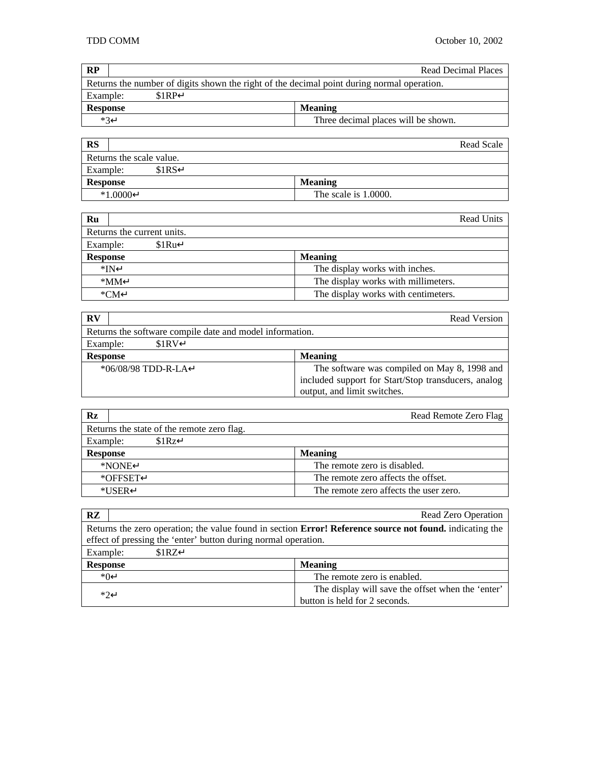| RP                                                                                         | Read Decimal Places                 |  |
|--------------------------------------------------------------------------------------------|-------------------------------------|--|
| Returns the number of digits shown the right of the decimal point during normal operation. |                                     |  |
| \$1RP <sub>1</sub><br>Example:                                                             |                                     |  |
| <b>Response</b>                                                                            | <b>Meaning</b>                      |  |
| $*3-$                                                                                      | Three decimal places will be shown. |  |

| <b>RS</b>                         | Read Scale           |  |
|-----------------------------------|----------------------|--|
| Returns the scale value.          |                      |  |
| $$1RS\downarrow$<br>Example:      |                      |  |
| <b>Meaning</b><br><b>Response</b> |                      |  |
| $*1.0000 \square$                 | The scale is 1,0000. |  |

| Ru                         | <b>Read Units</b>                   |  |
|----------------------------|-------------------------------------|--|
| Returns the current units. |                                     |  |
| \$1Ru<br>Example:          |                                     |  |
| <b>Response</b>            | <b>Meaning</b>                      |  |
| $*IN$                      | The display works with inches.      |  |
| $*MM_{-}$                  | The display works with millimeters. |  |
| $*CM\rightarrow$           | The display works with centimeters. |  |

| $\mathbf{R}\mathbf{V}$                                   | Read Version                                        |  |
|----------------------------------------------------------|-----------------------------------------------------|--|
| Returns the software compile date and model information. |                                                     |  |
| $$1RV\Box$<br>Example:                                   |                                                     |  |
| <b>Response</b>                                          | <b>Meaning</b>                                      |  |
| $*06/08/98$ TDD-R-LA                                     | The software was compiled on May 8, 1998 and        |  |
|                                                          | included support for Start/Stop transducers, analog |  |
|                                                          | output, and limit switches.                         |  |

| $\mathbf{R}z$   |                                            | Read Remote Zero Flag                  |
|-----------------|--------------------------------------------|----------------------------------------|
|                 | Returns the state of the remote zero flag. |                                        |
|                 | \$1Rz<br>Example:                          |                                        |
| <b>Response</b> |                                            | <b>Meaning</b>                         |
|                 | $*$ NONE $\Box$                            | The remote zero is disabled.           |
|                 | $*$ OFFSET                                 | The remote zero affects the offset.    |
|                 | *USER⊐                                     | The remote zero affects the user zero. |

| RZ                                                                                                       | Read Zero Operation                               |
|----------------------------------------------------------------------------------------------------------|---------------------------------------------------|
| Returns the zero operation; the value found in section Error! Reference source not found. indicating the |                                                   |
| effect of pressing the 'enter' button during normal operation.                                           |                                                   |
| Example:<br>$$1RZ \Box$                                                                                  |                                                   |
| <b>Response</b>                                                                                          | <b>Meaning</b>                                    |
| $*0$                                                                                                     | The remote zero is enabled.                       |
| $*2$                                                                                                     | The display will save the offset when the 'enter' |
|                                                                                                          | button is held for 2 seconds.                     |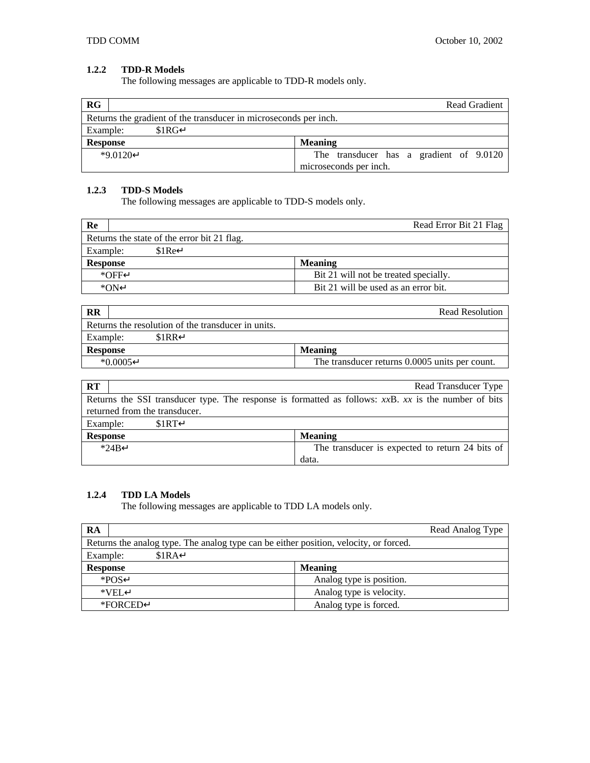## **1.2.2 TDD-R Models**

The following messages are applicable to TDD-R models only.

| RG                                                               | Read Gradient                           |
|------------------------------------------------------------------|-----------------------------------------|
| Returns the gradient of the transducer in microseconds per inch. |                                         |
| Example:<br>\$1RG                                                |                                         |
| <b>Response</b>                                                  | <b>Meaning</b>                          |
| $*9.0120 \square$                                                | The transducer has a gradient of 9.0120 |
|                                                                  | microseconds per inch.                  |

#### **1.2.3 TDD-S Models**

The following messages are applicable to TDD-S models only.

| Re                                          | Read Error Bit 21 Flag                |
|---------------------------------------------|---------------------------------------|
| Returns the state of the error bit 21 flag. |                                       |
| Example:<br>$$1Re\Box$                      |                                       |
| <b>Response</b>                             | <b>Meaning</b>                        |
| $*$ OFF $\sqcup$                            | Bit 21 will not be treated specially. |
| *ON-1                                       | Bit 21 will be used as an error bit.  |

| $_{\rm RR}$                                        | Read Resolution                                |
|----------------------------------------------------|------------------------------------------------|
| Returns the resolution of the transducer in units. |                                                |
| \$1RR<br>Example:                                  |                                                |
| <b>Response</b>                                    | <b>Meaning</b>                                 |
| *0.0005⊐                                           | The transducer returns 0.0005 units per count. |

| RT                                                                                                        | Read Transducer Type                            |  |
|-----------------------------------------------------------------------------------------------------------|-------------------------------------------------|--|
| Returns the SSI transducer type. The response is formatted as follows: $xxB$ . $xx$ is the number of bits |                                                 |  |
| returned from the transducer.                                                                             |                                                 |  |
| S1RT<br>Example:                                                                                          |                                                 |  |
| <b>Response</b>                                                                                           | <b>Meaning</b>                                  |  |
| $*24B$                                                                                                    | The transducer is expected to return 24 bits of |  |
|                                                                                                           | data.                                           |  |

### **1.2.4 TDD LA Models**

The following messages are applicable to TDD LA models only.

| RA                                                                                    | Read Analog Type         |
|---------------------------------------------------------------------------------------|--------------------------|
| Returns the analog type. The analog type can be either position, velocity, or forced. |                          |
| \$1RA<br>Example:                                                                     |                          |
| <b>Response</b>                                                                       | <b>Meaning</b>           |
| $*POS\rightarrow$                                                                     | Analog type is position. |
| $*VEL$                                                                                | Analog type is velocity. |
| *FORCED <sub>-</sub>                                                                  | Analog type is forced.   |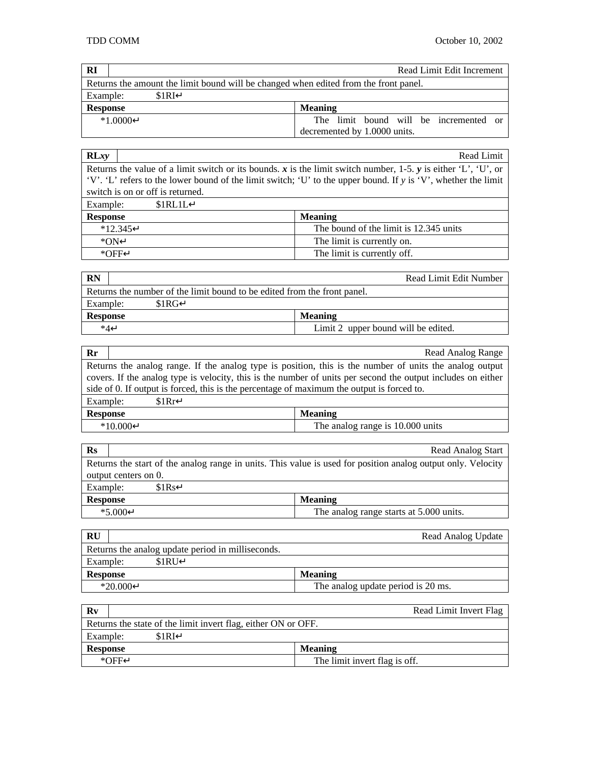| <b>RI</b>                                                                            |                 | Read Limit Edit Increment              |
|--------------------------------------------------------------------------------------|-----------------|----------------------------------------|
| Returns the amount the limit bound will be changed when edited from the front panel. |                 |                                        |
| Example:                                                                             | \$1RI           |                                        |
| <b>Response</b>                                                                      |                 | <b>Meaning</b>                         |
|                                                                                      | $*1,0000 \perp$ | The limit bound will be incremented or |
|                                                                                      |                 | decremented by 1.0000 units.           |

| RLxy                                                                                                           | Read Limit                             |
|----------------------------------------------------------------------------------------------------------------|----------------------------------------|
| Returns the value of a limit switch or its bounds. x is the limit switch number, 1-5. y is either 'L', 'U', or |                                        |
| 'V'. 'L' refers to the lower bound of the limit switch; 'U' to the upper bound. If y is 'V', whether the limit |                                        |
| switch is on or off is returned.                                                                               |                                        |
| $$1RL1L \rightarrow$<br>Example:                                                                               |                                        |
| <b>Response</b>                                                                                                | <b>Meaning</b>                         |
| $*12.345\downarrow$                                                                                            | The bound of the limit is 12.345 units |
| $*ON \rightarrow$                                                                                              | The limit is currently on.             |
| $*$ OFF                                                                                                        | The limit is currently off.            |

| <b>RN</b>                                                                | Read Limit Edit Number              |  |
|--------------------------------------------------------------------------|-------------------------------------|--|
| Returns the number of the limit bound to be edited from the front panel. |                                     |  |
| \$1RG<br>Example:                                                        |                                     |  |
| <b>Meaning</b><br><b>Response</b>                                        |                                     |  |
| $*4$                                                                     | Limit 2 upper bound will be edited. |  |
|                                                                          |                                     |  |

| $Rr$                                                                                                         | Read Analog Range                |  |
|--------------------------------------------------------------------------------------------------------------|----------------------------------|--|
| Returns the analog range. If the analog type is position, this is the number of units the analog output      |                                  |  |
| covers. If the analog type is velocity, this is the number of units per second the output includes on either |                                  |  |
| side of 0. If output is forced, this is the percentage of maximum the output is forced to.                   |                                  |  |
| Example:<br>$$1Rr\Box$                                                                                       |                                  |  |
| <b>Meaning</b><br><b>Response</b>                                                                            |                                  |  |
| $*10.000 \downarrow$                                                                                         | The analog range is 10.000 units |  |

|                                                                                                              | Read Analog Start                       |
|--------------------------------------------------------------------------------------------------------------|-----------------------------------------|
| Returns the start of the analog range in units. This value is used for position analog output only. Velocity |                                         |
| output centers on 0.                                                                                         |                                         |
| Example:<br>\$1Rs                                                                                            |                                         |
| <b>Meaning</b><br><b>Response</b>                                                                            |                                         |
| $*5.000 \downarrow$                                                                                          | The analog range starts at 5.000 units. |
|                                                                                                              |                                         |

| <b>RU</b>                                         | Read Analog Update                 |
|---------------------------------------------------|------------------------------------|
| Returns the analog update period in milliseconds. |                                    |
| $$1RU\Box$<br>Example:                            |                                    |
| <b>Response</b>                                   | <b>Meaning</b>                     |
| $*20.000\Box$                                     | The analog update period is 20 ms. |

| Rv                                                            | Read Limit Invert Flag        |
|---------------------------------------------------------------|-------------------------------|
| Returns the state of the limit invert flag, either ON or OFF. |                               |
| \$1RI<br>Example:                                             |                               |
| <b>Response</b>                                               | <b>Meaning</b>                |
| $*$ OFF $\lrcorner$                                           | The limit invert flag is off. |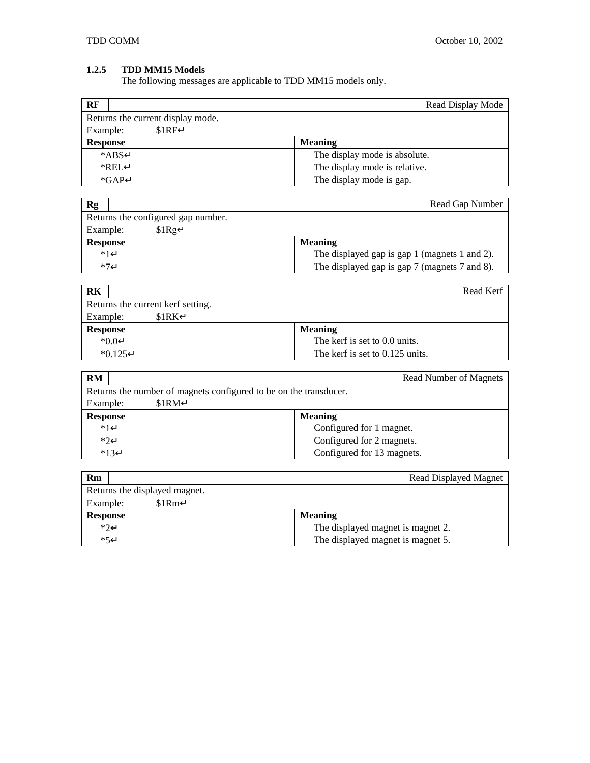## **1.2.5 TDD MM15 Models**

The following messages are applicable to TDD MM15 models only.

| RF                                | Read Display Mode             |
|-----------------------------------|-------------------------------|
| Returns the current display mode. |                               |
| $$1RF-$<br>Example:               |                               |
| <b>Response</b>                   | <b>Meaning</b>                |
| $*ABS$                            | The display mode is absolute. |
| $*REL$                            | The display mode is relative. |
| $*GAP \perp$                      | The display mode is gap.      |

| Rg                                 | Read Gap Number                               |
|------------------------------------|-----------------------------------------------|
| Returns the configured gap number. |                                               |
| Example:<br>\$1Rg                  |                                               |
| <b>Response</b>                    | <b>Meaning</b>                                |
| $*1$                               | The displayed gap is gap 1 (magnets 1 and 2). |
| $*7$                               | The displayed gap is gap 7 (magnets 7 and 8). |

| <b>RK</b>                                 | Read Kerf                       |
|-------------------------------------------|---------------------------------|
| Returns the current kerf setting.         |                                 |
| $$1RK\rightarrow$<br>Example:             |                                 |
| <b>Response</b>                           | <b>Meaning</b>                  |
| $*0.0$ <sup><math>\downarrow</math></sup> | The kerf is set to 0.0 units.   |
| $*0.125$                                  | The kerf is set to 0.125 units. |

| <b>RM</b>                                                         | <b>Read Number of Magnets</b> |
|-------------------------------------------------------------------|-------------------------------|
| Returns the number of magnets configured to be on the transducer. |                               |
| $$1RM\downarrow$<br>Example:                                      |                               |
| <b>Response</b>                                                   | <b>Meaning</b>                |
| $*1$                                                              | Configured for 1 magnet.      |
| $*2$                                                              | Configured for 2 magnets.     |
| $*13\Box$                                                         | Configured for 13 magnets.    |

| Rm                            | Read Displayed Magnet             |
|-------------------------------|-----------------------------------|
| Returns the displayed magnet. |                                   |
| $$1Rm\Box$<br>Example:        |                                   |
| <b>Response</b>               | <b>Meaning</b>                    |
| $*2$                          | The displayed magnet is magnet 2. |
| $*5$                          | The displayed magnet is magnet 5. |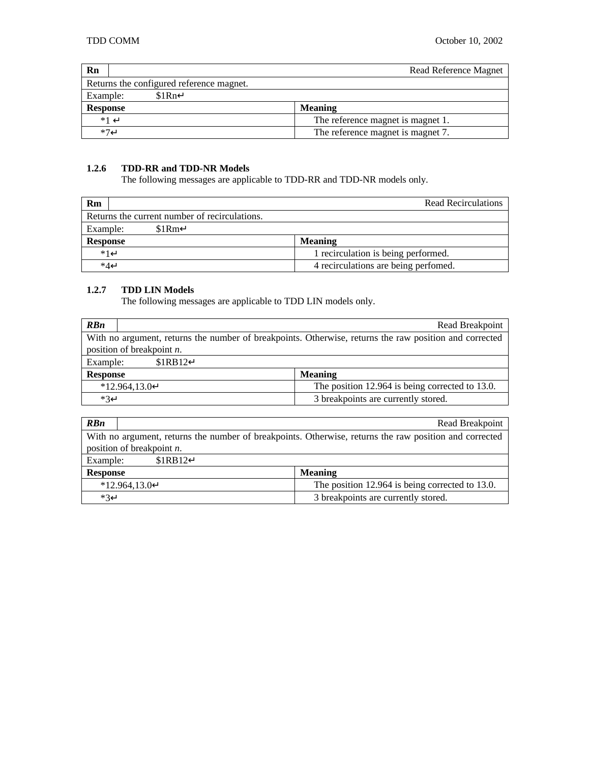| Rn              |                                          | <b>Read Reference Magnet</b>      |
|-----------------|------------------------------------------|-----------------------------------|
|                 | Returns the configured reference magnet. |                                   |
| Example:        | \$1Rn                                    |                                   |
| <b>Response</b> |                                          | <b>Meaning</b>                    |
| *1 →            |                                          | The reference magnet is magnet 1. |
| $*7$            |                                          | The reference magnet is magnet 7. |

#### **1.2.6 TDD-RR and TDD-NR Models**

The following messages are applicable to TDD-RR and TDD-NR models only.

| Rm                                            | Read Recirculations                  |
|-----------------------------------------------|--------------------------------------|
| Returns the current number of recirculations. |                                      |
| $$1Rm\Box$<br>Example:                        |                                      |
| <b>Response</b>                               | <b>Meaning</b>                       |
| $*1$                                          | 1 recirculation is being performed.  |
| $*4.$                                         | 4 recirculations are being perfomed. |

#### **1.2.7 TDD LIN Models**

The following messages are applicable to TDD LIN models only.

| <b>RBn</b>                                                                                                                             | Read Breakpoint                                 |  |
|----------------------------------------------------------------------------------------------------------------------------------------|-------------------------------------------------|--|
| With no argument, returns the number of breakpoints. Otherwise, returns the raw position and corrected<br>position of breakpoint $n$ . |                                                 |  |
| $$1RB12\downarrow$<br>Example:                                                                                                         |                                                 |  |
| <b>Response</b>                                                                                                                        | <b>Meaning</b>                                  |  |
| $*12.964,13.0\downarrow$                                                                                                               | The position 12.964 is being corrected to 13.0. |  |
| $*3$                                                                                                                                   | 3 breakpoints are currently stored.             |  |

| <b>RBn</b>                                                                                             | Read Breakpoint                                 |  |
|--------------------------------------------------------------------------------------------------------|-------------------------------------------------|--|
| With no argument, returns the number of breakpoints. Otherwise, returns the raw position and corrected |                                                 |  |
| position of breakpoint $n$ .                                                                           |                                                 |  |
| $$1RB12 \rightarrow$<br>Example:                                                                       |                                                 |  |
| <b>Meaning</b><br><b>Response</b>                                                                      |                                                 |  |
| $*12.964,13.0\downarrow$                                                                               | The position 12.964 is being corrected to 13.0. |  |
| $*3$                                                                                                   | 3 breakpoints are currently stored.             |  |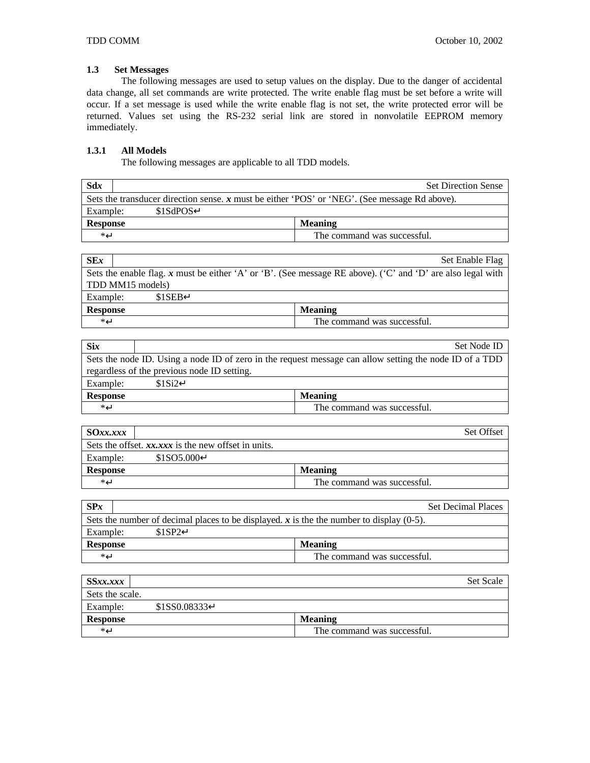#### **1.3 Set Messages**

The following messages are used to setup values on the display. Due to the danger of accidental data change, all set commands are write protected. The write enable flag must be set before a write will occur. If a set message is used while the write enable flag is not set, the write protected error will be returned. Values set using the RS-232 serial link are stored in nonvolatile EEPROM memory immediately.

#### **1.3.1 All Models**

The following messages are applicable to all TDD models.

| Sdx                                                                                             | <b>Set Direction Sense</b>  |  |
|-------------------------------------------------------------------------------------------------|-----------------------------|--|
| Sets the transducer direction sense. $x$ must be either 'POS' or 'NEG'. (See message Rd above). |                             |  |
| $$1SdPOS\Box$<br>Example:                                                                       |                             |  |
| <b>Response</b>                                                                                 | <b>Meaning</b>              |  |
| *⊿                                                                                              | The command was successful. |  |

| SEx                                                                                                         | Set Enable Flag             |  |
|-------------------------------------------------------------------------------------------------------------|-----------------------------|--|
| Sets the enable flag. x must be either 'A' or 'B'. (See message RE above). ('C' and 'D' are also legal with |                             |  |
| TDD MM15 models)                                                                                            |                             |  |
| $$1SEB$ <sup>-1</sup><br>Example:                                                                           |                             |  |
| <b>Response</b>                                                                                             | <b>Meaning</b>              |  |
| ∟∗                                                                                                          | The command was successful. |  |

| <b>Six</b>                                                                                              | Set Node ID                                 |  |
|---------------------------------------------------------------------------------------------------------|---------------------------------------------|--|
| Sets the node ID. Using a node ID of zero in the request message can allow setting the node ID of a TDD |                                             |  |
|                                                                                                         | regardless of the previous node ID setting. |  |
| Example:                                                                                                | $$1Si2\Box$                                 |  |
| <b>Response</b>                                                                                         | <b>Meaning</b>                              |  |
| ∟∗                                                                                                      | The command was successful.                 |  |

| $SQxx$ . $xxx$  |                                                     |                             | <b>Set Offset</b> |
|-----------------|-----------------------------------------------------|-----------------------------|-------------------|
|                 | Sets the offset. xx.xxx is the new offset in units. |                             |                   |
| Example:        | $$1SO5.000\downarrow$$                              |                             |                   |
| <b>Response</b> |                                                     | <b>Meaning</b>              |                   |
| ້≁              |                                                     | The command was successful. |                   |

| SPx                                                                                                     | <b>Set Decimal Places</b>   |
|---------------------------------------------------------------------------------------------------------|-----------------------------|
| Sets the number of decimal places to be displayed. $\boldsymbol{x}$ is the the number to display (0-5). |                             |
| $$1SP2 \square$<br>Example:                                                                             |                             |
| Response                                                                                                | <b>Meaning</b>              |
| $\ast$                                                                                                  | The command was successful. |

| SSxx.xxx         |                    |                             | <b>Set Scale</b> |
|------------------|--------------------|-----------------------------|------------------|
| Sets the scale.  |                    |                             |                  |
| Example:         | $$1SS0.08333 \Box$ |                             |                  |
| <b>Response</b>  |                    | <b>Meaning</b>              |                  |
| $*_{\leftarrow}$ |                    | The command was successful. |                  |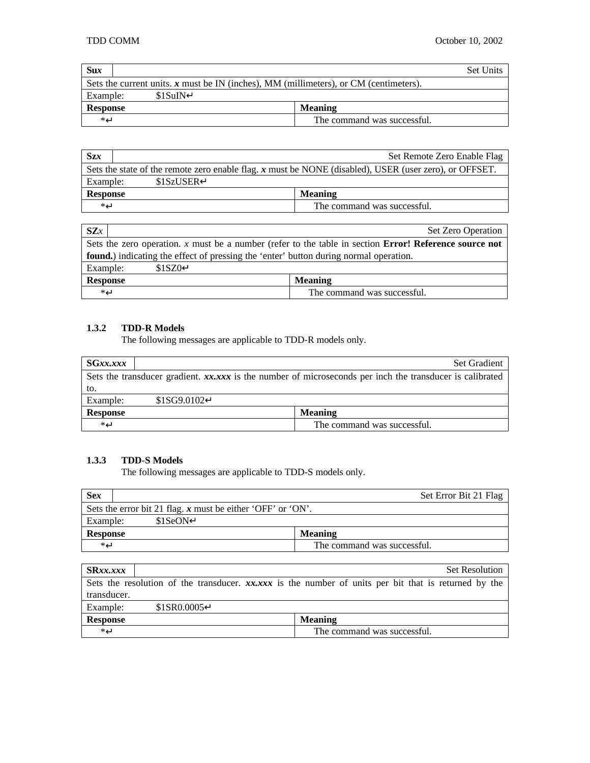| Sux                                                                                     | <b>Set Units</b>            |  |
|-----------------------------------------------------------------------------------------|-----------------------------|--|
| Sets the current units. $x$ must be IN (inches), MM (millimeters), or CM (centimeters). |                             |  |
| $$1\text{Su}$ IN $\downarrow$<br>Example:                                               |                             |  |
| <b>Response</b>                                                                         | <b>Meaning</b>              |  |
| *⊿                                                                                      | The command was successful. |  |

| Szx             |                                                                                                          | Set Remote Zero Enable Flag |  |
|-----------------|----------------------------------------------------------------------------------------------------------|-----------------------------|--|
|                 | Sets the state of the remote zero enable flag. $x$ must be NONE (disabled), USER (user zero), or OFFSET. |                             |  |
| Example:        | $$1SzUSER \rightarrow$                                                                                   |                             |  |
| <b>Response</b> |                                                                                                          | <b>Meaning</b>              |  |
| *⊿              |                                                                                                          | The command was successful. |  |

| $\mathbf{SZ}x$                                                                                                | Set Zero Operation          |  |
|---------------------------------------------------------------------------------------------------------------|-----------------------------|--|
| Sets the zero operation. x must be a number (refer to the table in section <b>Error! Reference source not</b> |                             |  |
| found.) indicating the effect of pressing the 'enter' button during normal operation.                         |                             |  |
| Example:<br>$$1SZ0 \square$                                                                                   |                             |  |
| <b>Response</b>                                                                                               | <b>Meaning</b>              |  |
| * J                                                                                                           | The command was successful. |  |

#### **1.3.2 TDD-R Models**

The following messages are applicable to TDD-R models only.

| SGxx.xxx        |                                                                                                          | <b>Set Gradient</b>         |  |
|-----------------|----------------------------------------------------------------------------------------------------------|-----------------------------|--|
|                 | Sets the transducer gradient. xx,xxx is the number of microseconds per inch the transducer is calibrated |                             |  |
| to.             |                                                                                                          |                             |  |
| Example:        | $$1SG9.0102 \Box$                                                                                        |                             |  |
| <b>Response</b> |                                                                                                          | <b>Meaning</b>              |  |
| ∗∟              |                                                                                                          | The command was successful. |  |

#### **1.3.3 TDD-S Models**

The following messages are applicable to TDD-S models only.

| <b>Sex</b>      |                                                               | Set Error Bit 21 Flag       |
|-----------------|---------------------------------------------------------------|-----------------------------|
|                 | Sets the error bit 21 flag. $x$ must be either 'OFF' or 'ON'. |                             |
| Example:        | $$1SeON \square$                                              |                             |
| <b>Response</b> |                                                               | <b>Meaning</b>              |
| $\ast$          |                                                               | The command was successful. |

| SRx.xxx         |                | <b>Set Resolution</b>                                                                                |
|-----------------|----------------|------------------------------------------------------------------------------------------------------|
| transducer.     |                | Sets the resolution of the transducer. xx.xxx is the number of units per bit that is returned by the |
| Example:        | $$1$ SR0.0005. |                                                                                                      |
| <b>Response</b> |                | <b>Meaning</b>                                                                                       |
| *⊿              |                | The command was successful.                                                                          |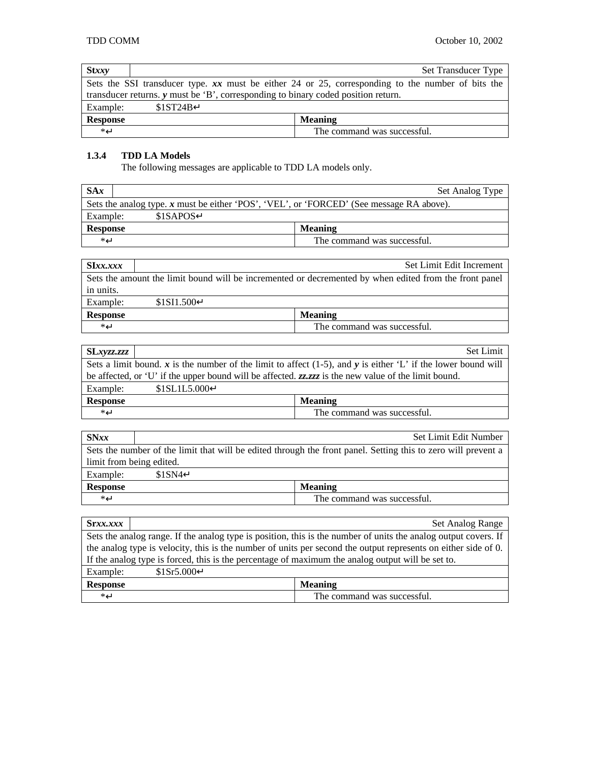| Stxxy           |                                                                                   | Set Transducer Type                                                                                 |
|-----------------|-----------------------------------------------------------------------------------|-----------------------------------------------------------------------------------------------------|
|                 |                                                                                   | Sets the SSI transducer type. $xx$ must be either 24 or 25, corresponding to the number of bits the |
|                 | transducer returns. y must be 'B', corresponding to binary coded position return. |                                                                                                     |
| Example:        | $$1ST24B \rightarrow$                                                             |                                                                                                     |
| <b>Response</b> |                                                                                   | <b>Meaning</b>                                                                                      |
| ∟∗              |                                                                                   | The command was successful.                                                                         |

## **1.3.4 TDD LA Models**

The following messages are applicable to TDD LA models only.

| SAx                                                                                      | Set Analog Type             |
|------------------------------------------------------------------------------------------|-----------------------------|
| Sets the analog type. x must be either 'POS', 'VEL', or 'FORCED' (See message RA above). |                             |
| $$1$ SAPOS<br>Example:                                                                   |                             |
| <b>Response</b>                                                                          | <b>Meaning</b>              |
| * J                                                                                      | The command was successful. |

| $S\llbracket x, x, x \rrbracket$                                                                       |                              | Set Limit Edit Increment    |
|--------------------------------------------------------------------------------------------------------|------------------------------|-----------------------------|
| Sets the amount the limit bound will be incremented or decremented by when edited from the front panel |                              |                             |
| in units.                                                                                              |                              |                             |
| Example:                                                                                               | $$1\text{S}11.500\downarrow$ |                             |
| <b>Response</b>                                                                                        |                              | <b>Meaning</b>              |
| ∟∗                                                                                                     |                              | The command was successful. |

| SLxyzz.zzz                                                                                                       | <b>Set Limit</b>                                                                                     |  |
|------------------------------------------------------------------------------------------------------------------|------------------------------------------------------------------------------------------------------|--|
| Sets a limit bound. x is the number of the limit to affect $(1-5)$ , and y is either 'L' if the lower bound will |                                                                                                      |  |
|                                                                                                                  | be affected, or 'U' if the upper bound will be affected. zz.zzz is the new value of the limit bound. |  |
| $$1SL1L5.000\downarrow$$<br>Example:                                                                             |                                                                                                      |  |
| <b>Response</b>                                                                                                  | <b>Meaning</b>                                                                                       |  |
| ا∟*                                                                                                              | The command was successful.                                                                          |  |

| $S_{\text{N}xx}$                                                                                              |                          | Set Limit Edit Number       |  |
|---------------------------------------------------------------------------------------------------------------|--------------------------|-----------------------------|--|
| Sets the number of the limit that will be edited through the front panel. Setting this to zero will prevent a |                          |                             |  |
|                                                                                                               | limit from being edited. |                             |  |
| Example:                                                                                                      | $$1$ SN4                 |                             |  |
| <b>Response</b>                                                                                               |                          | <b>Meaning</b>              |  |
| *⊿                                                                                                            |                          | The command was successful. |  |

| Srx.xxx                                                                                                         |                        | Set Analog Range                                                                                               |
|-----------------------------------------------------------------------------------------------------------------|------------------------|----------------------------------------------------------------------------------------------------------------|
| Sets the analog range. If the analog type is position, this is the number of units the analog output covers. If |                        |                                                                                                                |
|                                                                                                                 |                        | the analog type is velocity, this is the number of units per second the output represents on either side of 0. |
| If the analog type is forced, this is the percentage of maximum the analog output will be set to.               |                        |                                                                                                                |
| Example:                                                                                                        | $$1Sr5.000\downarrow$$ |                                                                                                                |
| <b>Response</b>                                                                                                 | <b>Meaning</b>         |                                                                                                                |
| *പ                                                                                                              |                        | The command was successful.                                                                                    |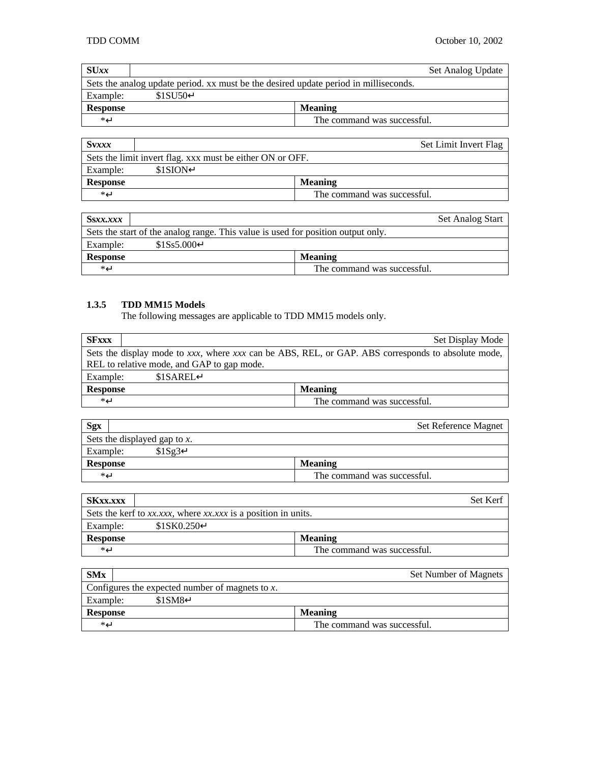| SUxx                                                                                 |              | Set Analog Update           |
|--------------------------------------------------------------------------------------|--------------|-----------------------------|
| Sets the analog update period. xx must be the desired update period in milliseconds. |              |                             |
| Example:                                                                             | $$1SU50\Box$ |                             |
| <b>Response</b>                                                                      |              | <b>Meaning</b>              |
| ∟∗                                                                                   |              | The command was successful. |

| Svxxx           |                                                           | Set Limit Invert Flag       |
|-----------------|-----------------------------------------------------------|-----------------------------|
|                 | Sets the limit invert flag. xxx must be either ON or OFF. |                             |
| Example:        | $$1SION+$                                                 |                             |
| <b>Response</b> |                                                           | <b>Meaning</b>              |
| *⊷              |                                                           | The command was successful. |

| $S$ sxx.xxx                                                                      | <b>Set Analog Start</b>     |  |
|----------------------------------------------------------------------------------|-----------------------------|--|
| Sets the start of the analog range. This value is used for position output only. |                             |  |
| $$1Ss5.000\downarrow$$<br>Example:                                               |                             |  |
| <b>Response</b>                                                                  | <b>Meaning</b>              |  |
| ∟∗                                                                               | The command was successful. |  |

## **1.3.5 TDD MM15 Models**

The following messages are applicable to TDD MM15 models only.

| <b>SFxxx</b>                                                                                       |                                            | Set Display Mode            |  |
|----------------------------------------------------------------------------------------------------|--------------------------------------------|-----------------------------|--|
| Sets the display mode to xxx, where xxx can be ABS, REL, or GAP. ABS corresponds to absolute mode, |                                            |                             |  |
|                                                                                                    | REL to relative mode, and GAP to gap mode. |                             |  |
| Example:                                                                                           | \$1SAREL <sub>+</sub>                      |                             |  |
| <b>Response</b>                                                                                    |                                            | <b>Meaning</b>              |  |
| *⊿                                                                                                 |                                            | The command was successful. |  |

| <b>Sgx</b>                      | Set Reference Magnet        |
|---------------------------------|-----------------------------|
| Sets the displayed gap to $x$ . |                             |
| \$1Sg3<br>Example:              |                             |
| <b>Response</b>                 | <b>Meaning</b>              |
| ້∻                              | The command was successful. |

| <b>SKxx.xxx</b> |                                                               |                             | Set Kerf |
|-----------------|---------------------------------------------------------------|-----------------------------|----------|
|                 | Sets the kerf to xx.xxx, where xx.xxx is a position in units. |                             |          |
| Example:        | $$1SK0.250 \square$                                           |                             |          |
| <b>Response</b> |                                                               | <b>Meaning</b>              |          |
| *–              |                                                               | The command was successful. |          |

| <b>SMx</b>                                         | Set Number of Magnets       |
|----------------------------------------------------|-----------------------------|
| Configures the expected number of magnets to $x$ . |                             |
| $$1SM8\Box$<br>Example:                            |                             |
| <b>Response</b>                                    | <b>Meaning</b>              |
| ี∗ี่                                               | The command was successful. |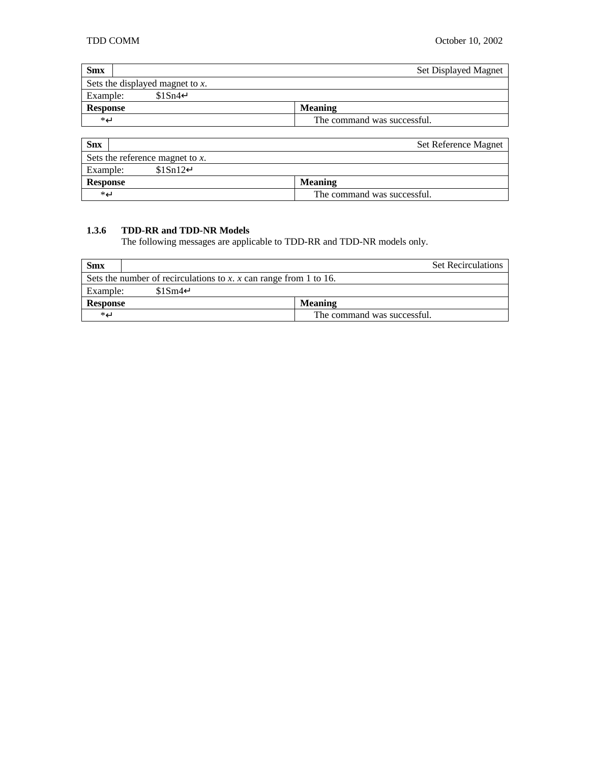| <b>Smx</b>                         | Set Displayed Magnet        |
|------------------------------------|-----------------------------|
| Sets the displayed magnet to $x$ . |                             |
| \$1Sn4<br>Example:                 |                             |
| <b>Response</b>                    | <b>Meaning</b>              |
| *⊿                                 | The command was successful. |
|                                    |                             |

| <b>Snx</b>                         | <b>Set Reference Magnet</b> |
|------------------------------------|-----------------------------|
| Sets the reference magnet to $x$ . |                             |
| $$1Sn12\Box$<br>Example:           |                             |
| <b>Response</b>                    | <b>Meaning</b>              |
| $*_{-}$                            | The command was successful. |

### **1.3.6 TDD-RR and TDD-NR Models**

The following messages are applicable to TDD-RR and TDD-NR models only.

| <b>Smx</b>                                                        |              | <b>Set Recirculations</b>   |
|-------------------------------------------------------------------|--------------|-----------------------------|
| Sets the number of recirculations to x, x can range from 1 to 16. |              |                             |
| Example:                                                          | $$1Sm4 \Box$ |                             |
| <b>Response</b>                                                   |              | <b>Meaning</b>              |
| ້≁                                                                |              | The command was successful. |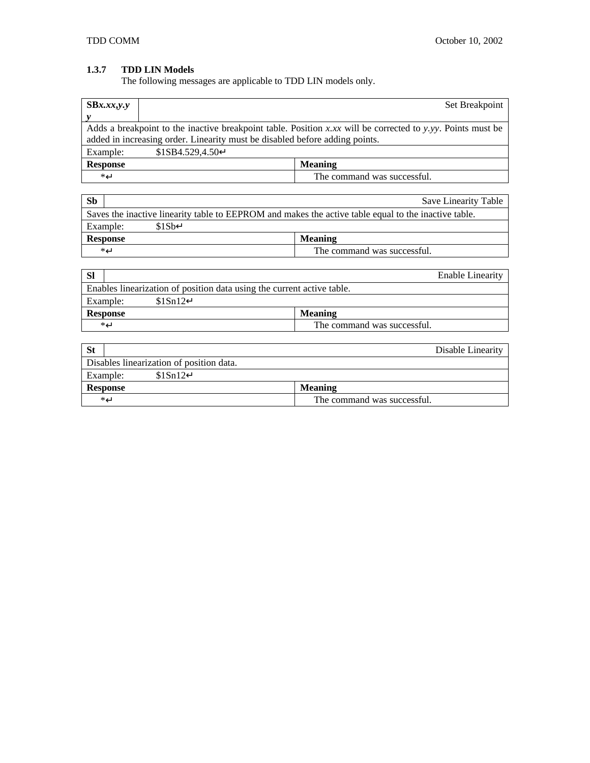## **1.3.7 TDD LIN Models**

The following messages are applicable to TDD LIN models only.

| SBx.xx,y.y                                                                                                  |                              | Set Breakpoint              |
|-------------------------------------------------------------------------------------------------------------|------------------------------|-----------------------------|
|                                                                                                             |                              |                             |
| Adds a breakpoint to the inactive breakpoint table. Position x.xx will be corrected to y.yy. Points must be |                              |                             |
| added in increasing order. Linearity must be disabled before adding points.                                 |                              |                             |
| Example:                                                                                                    | $$1SB4.529,4.50 \rightarrow$ |                             |
| <b>Response</b>                                                                                             |                              | <b>Meaning</b>              |
| *⊿                                                                                                          |                              | The command was successful. |

| Sb                                                                                                   | Save Linearity Table        |  |
|------------------------------------------------------------------------------------------------------|-----------------------------|--|
| Saves the inactive linearity table to EEPROM and makes the active table equal to the inactive table. |                             |  |
| \$1Sb<br>Example:                                                                                    |                             |  |
| <b>Response</b>                                                                                      | <b>Meaning</b>              |  |
| *⊿                                                                                                   | The command was successful. |  |

| <b>SI</b>                                                              |                          | <b>Enable Linearity</b>     |
|------------------------------------------------------------------------|--------------------------|-----------------------------|
| Enables linearization of position data using the current active table. |                          |                             |
|                                                                        | $$1Sn12\Box$<br>Example: |                             |
|                                                                        | <b>Response</b>          | <b>Meaning</b>              |
|                                                                        | $*_{-}$                  | The command was successful. |

| -St                                      | Disable Linearity           |  |
|------------------------------------------|-----------------------------|--|
| Disables linearization of position data. |                             |  |
| $$1Sn12\Box$<br>Example:                 |                             |  |
| <b>Response</b>                          | <b>Meaning</b>              |  |
| $\ast$ $\overline{\phantom{0}}$          | The command was successful. |  |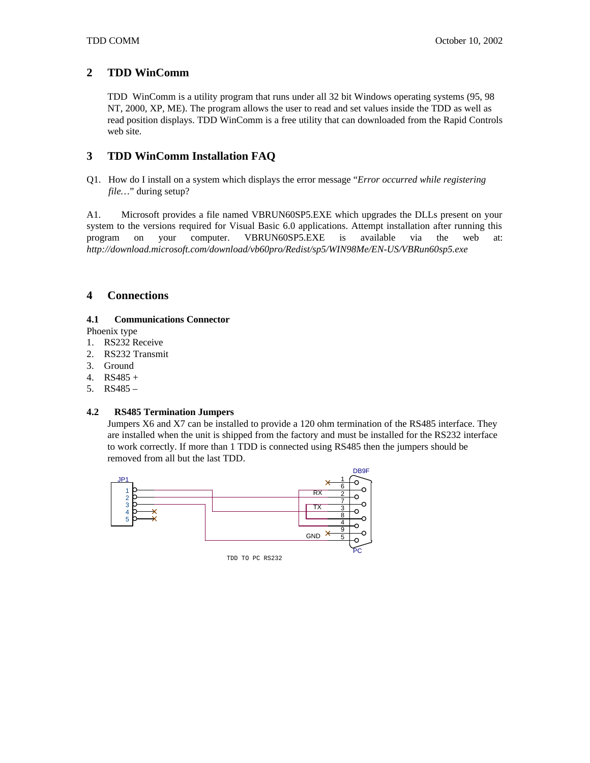## **2 TDD WinComm**

TDD WinComm is a utility program that runs under all 32 bit Windows operating systems (95, 98 NT, 2000, XP, ME). The program allows the user to read and set values inside the TDD as well as read position displays. TDD WinComm is a free utility that can downloaded from the Rapid Controls web site.

## **3 TDD WinComm Installation FAQ**

Q1. How do I install on a system which displays the error message "*Error occurred while registering file…*" during setup?

A1. Microsoft provides a file named VBRUN60SP5.EXE which upgrades the DLLs present on your system to the versions required for Visual Basic 6.0 applications. Attempt installation after running this program on your computer. VBRUN60SP5.EXE is available via the web at: *http://download.microsoft.com/download/vb60pro/Redist/sp5/WIN98Me/EN-US/VBRun60sp5.exe*

### **4 Connections**

#### **4.1 Communications Connector**

Phoenix type

- 1. RS232 Receive
- 2. RS232 Transmit
- 3. Ground
- 4. RS485 +
- 5. RS485 –

#### **4.2 RS485 Termination Jumpers**

Jumpers X6 and X7 can be installed to provide a 120 ohm termination of the RS485 interface. They are installed when the unit is shipped from the factory and must be installed for the RS232 interface to work correctly. If more than 1 TDD is connected using RS485 then the jumpers should be removed from all but the last TDD.